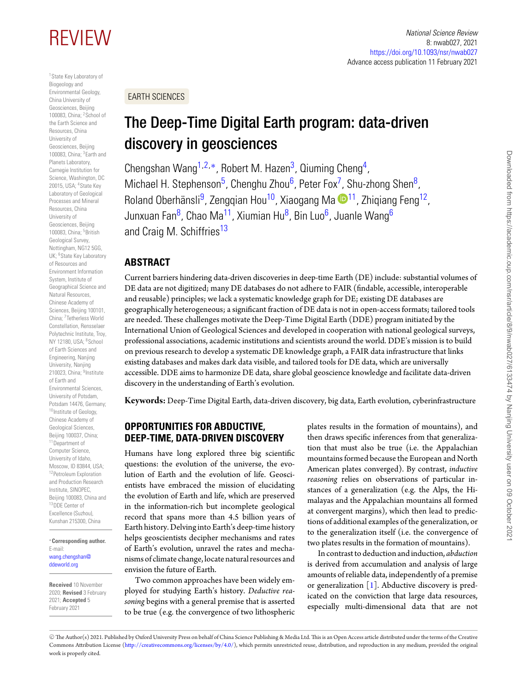<span id="page-0-0"></span>1State Key Laboratory of Biogeology and Environmental Geology, China University of Geosciences, Beijing 100083, China; <sup>2</sup>School of the Earth Science and Resources, China University of Geosciences, Beijing 100083, China; 3Earth and Planets Laboratory, Carnegie Institution for Science, Washington, DC 20015, USA; 4State Key Laboratory of Geological Processes and Mineral Resources, China University of Geosciences, Beijing 100083, China; <sup>5</sup>British Geological Survey, Nottingham, NG12 5GG, UK; <sup>6</sup>State Key Laboratory of Resources and Environment Information System, Institute of Geographical Science and Natural Resources, Chinese Academy of Sciences, Beijing 100101, China; 7Tetherless World Constellation, Rensselaer Polytechnic Institute, Troy, NY 12180, USA; <sup>8</sup> School of Earth Sciences and Engineering, Nanjing University, Nanjing 210023, China; <sup>9</sup>Institute of Earth and Environmental Sciences, University of Potsdam, Potsdam 14476, Germany; 10 Institute of Geology, Chinese Academy of Geological Sciences, Beijing 100037, China; 11Department of Computer Science, University of Idaho, Moscow, ID 83844, USA; 12Petroleum Exploration and Production Research Institute, SINOPEC, Beijing 100083, China and 13DDE Center of Excellence (Suzhou), Kunshan 215300, China

#### <span id="page-0-13"></span><span id="page-0-12"></span><span id="page-0-2"></span>∗**Corresponding author.** E-mail: [wang.chengshan@](mailto:wang.chengshan@ddeworld.org) [ddeworld.org](mailto:wang.chengshan@ddeworld.org)

**Received** 10 November 2020; **Revised** 3 February 2021; **Accepted** 5 February 2021

#### REVIEW *National Science Review* 8: nwab027, 2021 <https://doi.org/10.1093/nsr/nwab027> Advance access publication 11 February 2021

EARTH SCIENCES

# <span id="page-0-1"></span>The Deep-Time Digital Earth program: data-driven discovery in geosciences

<span id="page-0-4"></span><span id="page-0-3"></span>Chengshan Wang<sup>[1,](#page-0-0)[2,](#page-0-1)[∗](#page-0-2)</sup>, Robert M. Hazen<sup>3</sup>, Qiuming Cheng<sup>4</sup>, Michael H. Stephenson<sup>5</sup>, Chenghu Zhou<sup>6</sup>, Peter Fox<sup>7</sup>, Shu-zhong Shen<sup>8</sup>, Roland Oberhänsli<sup>9</sup>, Zenggian Hou<sup>10</sup>, Xiaogang Ma  $\mathbb{D}^{11}$ , Zhigiang Feng<sup>12</sup>, Junxuan Fan<sup>8</sup>, Chao Ma<sup>11</sup>, Xiumian Hu<sup>8</sup>, Bin Luo<sup>6</sup>, Juanle Wang<sup>6</sup> and Craig M. Schiffries<sup>13</sup>

# <span id="page-0-6"></span><span id="page-0-5"></span>**ABSTRACT**

<span id="page-0-7"></span>Current barriers hindering data-driven discoveries in deep-time Earth (DE) include: substantial volumes of DE data are not digitized; many DE databases do not adhere to FAIR (findable, accessible, interoperable and reusable) principles; we lack a systematic knowledge graph for DE; existing DE databases are geographically heterogeneous; a significant fraction of DE data is not in open-access formats; tailored tools are needed. These challenges motivate the Deep-Time Digital Earth (DDE) program initiated by the International Union of Geological Sciences and developed in cooperation with national geological surveys, professional associations, academic institutions and scientists around the world. DDE's mission is to build on previous research to develop a systematic DE knowledge graph, a FAIR data infrastructure that links existing databases and makes dark data visible, and tailored tools for DE data, which are universally accessible. DDE aims to harmonize DE data, share global geoscience knowledge and facilitate data-driven discovery in the understanding of Earth's evolution.

<span id="page-0-9"></span><span id="page-0-8"></span>**Keywords:** Deep-Time Digital Earth, data-driven discovery, big data, Earth evolution, cyberinfrastructure

# <span id="page-0-11"></span><span id="page-0-10"></span>**OPPORTUNITIES FOR ABDUCTIVE, DEEP-TIME, DATA-DRIVEN DISCOVERY**

Humans have long explored three big scientific questions: the evolution of the universe, the evolution of Earth and the evolution of life. Geoscientists have embraced the mission of elucidating the evolution of Earth and life, which are preserved in the information-rich but incomplete geological record that spans more than 4.5 billion years of Earth history. Delving into Earth's deep-time history helps geoscientists decipher mechanisms and rates of Earth's evolution, unravel the rates and mechanisms of climate change, locate natural resources and envision the future of Earth.

Two common approaches have been widely employed for studying Earth's history. *Deductive reasoning* begins with a general premise that is asserted to be true (e.g. the convergence of two lithospheric plates results in the formation of mountains), and then draws specific inferences from that generalization that must also be true (i.e. the Appalachian mountains formed because the European and North American plates converged). By contrast, *inductive reasoning* relies on observations of particular instances of a generalization (e.g. the Alps, the Himalayas and the Appalachian mountains all formed at convergent margins), which then lead to predictions of additional examples of the generalization, or to the generalization itself (i.e. the convergence of two plates results in the formation of mountains)[.](#page-1-0)

In contrast to deduction and induction, *abduction* is derived from accumulation and analysis of large amounts of reliable data, independently of a premise or generalization  $[1]$ . Abductive discovery is predicated on the conviction that large data resources, especially multi-dimensional data that are not

<sup>C</sup> The Author(s) 2021. Published by Oxford University Press on behalf of China Science Publishing & Media Ltd.This is an Open Access article distributed under the terms of the Creative Commons Attribution License [\(http://creativecommons.org/licenses/by/4.0/\)](http://creativecommons.org/licenses/by/4.0/), which permits unrestricted reuse, distribution, and reproduction in any medium, provided the original work is properly cited.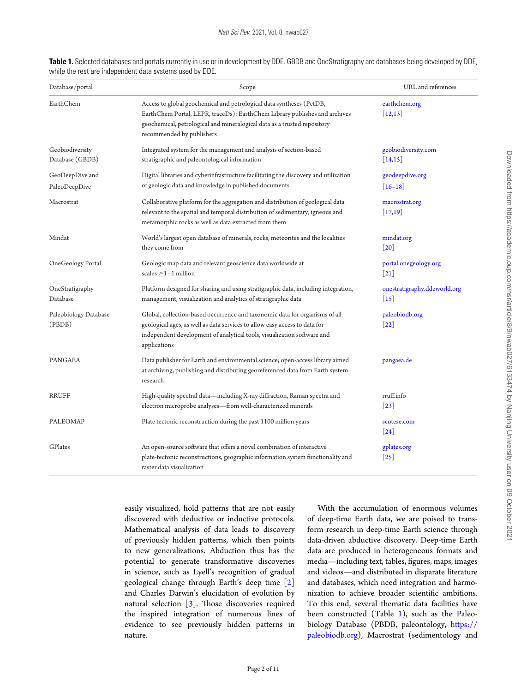| Database/portal                    | Scope                                                                                                                                                                                                                                                       | URL and references<br>earthchem.org<br>$\lceil 12, 13 \rceil$ |  |
|------------------------------------|-------------------------------------------------------------------------------------------------------------------------------------------------------------------------------------------------------------------------------------------------------------|---------------------------------------------------------------|--|
| EarthChem                          | Access to global geochemical and petrological data syntheses (PetDB,<br>EarthChem Portal, LEPR, traceDs); EarthChem Library publishes and archives<br>geochemical, petrological and mineralogical data as a trusted repository<br>recommended by publishers |                                                               |  |
| Geobiodiversity<br>Database (GBDB) | Integrated system for the management and analysis of section-based<br>stratigraphic and paleontological information                                                                                                                                         | geobiodiversity.com<br>$[14,15]$                              |  |
| GeoDeepDive and<br>PaleoDeepDive   | Digital libraries and cyberinfrastructure facilitating the discovery and utilization<br>of geologic data and knowledge in published documents                                                                                                               | geodeepdive.org<br>$\lceil 16 - 18 \rceil$                    |  |
| Macrostrat                         | Collaborative platform for the aggregation and distribution of geological data<br>relevant to the spatial and temporal distribution of sedimentary, igneous and<br>metamorphic rocks as well as data extracted from them                                    | macrostrat.org<br>$[17,19]$                                   |  |
| Mindat                             | World's largest open database of minerals, rocks, meteorites and the localities<br>they come from                                                                                                                                                           | mindat.org<br>$\lceil 20 \rceil$                              |  |
| OneGeology Portal                  | Geologic map data and relevant geoscience data worldwide at<br>scales $\geq$ 1 : 1 million                                                                                                                                                                  | portal.onegeology.org<br> 21                                  |  |
| OneStratigraphy<br>Database        | Platform designed for sharing and using stratigraphic data, including integration,<br>management, visualization and analytics of stratigraphic data                                                                                                         | onestratigraphy.ddeworld.org<br>$\vert 15 \vert$              |  |
| Paleobiology Database<br>(PBDB)    | Global, collection-based occurrence and taxonomic data for organisms of all<br>geological ages, as well as data services to allow easy access to data for<br>independent development of analytical tools, visualization software and<br>applications        | paleobiodb.org<br> 22                                         |  |
| PANGAEA                            | Data publisher for Earth and environmental science; open-access library aimed<br>at archiving, publishing and distributing georeferenced data from Earth system<br>research                                                                                 | pangaea.de                                                    |  |
| RRUFF                              | High-quality spectral data—including X-ray diffraction, Raman spectra and<br>electron microprobe analyses-from well-characterized minerals                                                                                                                  | rruff.info<br>$\lceil 23 \rceil$                              |  |
| PALEOMAP                           | Plate tectonic reconstruction during the past 1100 million years                                                                                                                                                                                            | scotese.com<br>$\left  24 \right $                            |  |
| GPlates                            | An open-source software that offers a novel combination of interactive<br>plate-tectonic reconstructions, geographic information system functionality and<br>raster data visualization                                                                      | gplates.org<br>$\left[25\right]$                              |  |

<span id="page-1-0"></span>**Table 1.** Selected databases and portals currently in use or in development by DDE. GBDB and OneStratigraphy are databases being developed by DDE, while the rest are independent data systems used by DDE.

> easily visualized, hold patterns that are not easily discovered with deductive or inductive protocols. Mathematical analysis of data leads to discovery of previously hidden patterns, which then points to new generalizations. Abduction thus has the potential to generate transformative discoveries in science, such as Lyell's recognition of gradual geological change through Earth's deep time [\[2\]](#page-9-2) and Charles Darwin's elucidation of evolution by natural selection  $\lceil 3 \rceil$ . Those discoveries required the inspired integration of numerous lines of evidence to see previously hidden patterns in nature.

With the accumulation of enormous volumes of deep-time Earth data, we are poised to transform research in deep-time Earth science through data-driven abductive discovery. Deep-time Earth data are produced in heterogeneous formats and media—including text, tables, figures, maps, images and videos—and distributed in disparate literature and databases, which need integration and harmonization to achieve broader scientific ambitions. To this end, several thematic data facilities have been constructed (Table  $1$ ), such as the Paleobiology Database (PBDB, paleontology, [https://](https://paleobiodb.org) [paleobiodb.org\)](https://paleobiodb.org), Macrostrat (sedimentology and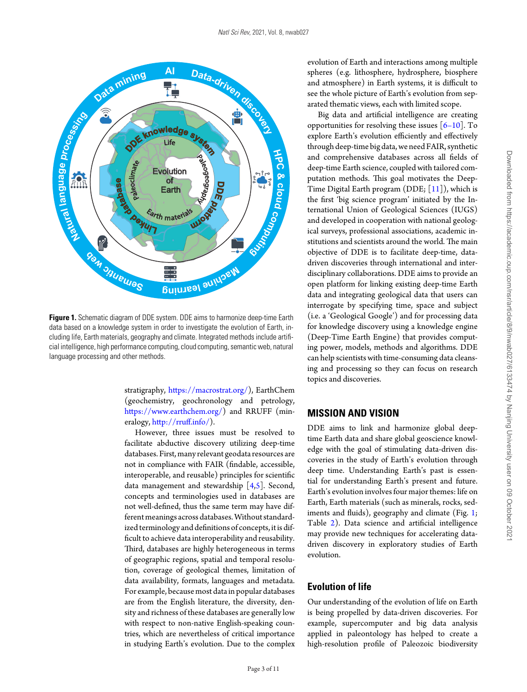<span id="page-2-0"></span>

**Figure 1.** Schematic diagram of DDE system. DDE aims to harmonize deep-time Earth data based on a knowledge system in order to investigate the evolution of Earth, including life, Earth materials, geography and climate. Integrated methods include artificial intelligence, high performance computing, cloud computing, semantic web, natural language processing and other methods.

stratigraphy, [https://macrostrat.org/\)](https://macrostrat.org/), EarthChem (geochemistry, geochronology and petrology, [https://www.earthchem.org/\)](https://www.earthchem.org/) and RRUFF (mineralogy, [http://rruff.info/\)](http://rruff.info/)[.](#page-2-0)

However, three issues must be resolved to facilitate abductive discovery utilizing deep-time databases. First, many relevant geodata resources are not in compliance with FAIR (findable, accessible, interoperable, and reusable) principles for scientific data management and stewardship [\[4](#page-9-4)[,5\]](#page-9-5). Second, concepts and terminologies used in databases are not well-defined, thus the same term may have different meanings across databases.Without standardized terminology and definitions of concepts, it is difficult to achieve data interoperability and reusability. Third, databases are highly heterogeneous in terms of geographic regions, spatial and temporal resolution, coverage of geological themes, limitation of data availability, formats, languages and metadata. For example, because most data in popular databases are from the English literature, the diversity, density and richness of these databases are generally low with respect to non-native English-speaking countries, which are nevertheless of critical importance in studying Earth's evolution. Due to the complex

evolution of Earth and interactions among multiple spheres (e.g. lithosphere, hydrosphere, biosphere and atmosphere) in Earth systems, it is difficult to see the whole picture of Earth's evolution from separated thematic views, each with limited scope.

Big data and artificial intelligence are creating opportunities for resolving these issues  $[6-10]$ . To explore Earth's evolution efficiently and effectively through deep-time big data, we need FAIR, synthetic and comprehensive databases across all fields of deep-time Earth science, coupled with tailored computation methods. This goal motivates the Deep-Time Digital Earth program (DDE; [\[11\]](#page-9-7)), which is the first 'big science program' initiated by the International Union of Geological Sciences (IUGS) and developed in cooperation with national geological surveys, professional associations, academic institutions and scientists around the world. The main objective of DDE is to facilitate deep-time, datadriven discoveries through international and interdisciplinary collaborations. DDE aims to provide an open platform for linking existing deep-time Earth data and integrating geological data that users can interrogate by specifying time, space and subject (i.e. a 'Geological Google') and for processing data for knowledge discovery using a knowledge engine (Deep-Time Earth Engine) that provides computing power, models, methods and algorithms. DDE can help scientists with time-consuming data cleansing and processing so they can focus on research topics and discoveries.

#### **MISSION AND VISION**

DDE aims to link and harmonize global deeptime Earth data and share global geoscience knowledge with the goal of stimulating data-driven discoveries in the study of Earth's evolution through deep time. Understanding Earth's past is essential for understanding Earth's present and future. Earth's evolution involves four major themes: life on Earth, Earth materials (such as minerals, rocks, sed-iments and fluids), geography and climate (Fig. [1;](#page-2-0) Table [2\)](#page-3-0). Data science and artificial intelligence may provide new techniques for accelerating datadriven discovery in exploratory studies of Earth evolution.

# **Evolution of life**

Our understanding of the evolution of life on Earth is being propelled by data-driven discoveries. For example, supercomputer and big data analysis applied in paleontology has helped to create a high-resolution profile of Paleozoic biodiversity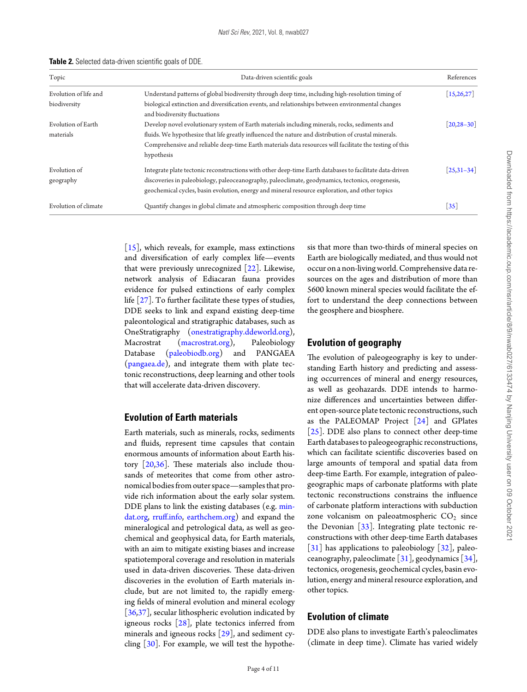<span id="page-3-0"></span>

|  | Table 2. Selected data-driven scientific goals of DDE. |  |  |  |
|--|--------------------------------------------------------|--|--|--|
|--|--------------------------------------------------------|--|--|--|

| Topic                 | Data-driven scientific goals                                                                            | References              |  |
|-----------------------|---------------------------------------------------------------------------------------------------------|-------------------------|--|
| Evolution of life and | Understand patterns of global biodiversity through deep time, including high-resolution timing of       | [15, 26, 27]            |  |
| biodiversity          | biological extinction and diversification events, and relationships between environmental changes       |                         |  |
|                       | and biodiversity fluctuations                                                                           |                         |  |
| Evolution of Earth    | Develop novel evolutionary system of Earth materials including minerals, rocks, sediments and           | $[20, 28 - 30]$         |  |
| materials             | fluids. We hypothesize that life greatly influenced the nature and distribution of crustal minerals.    |                         |  |
|                       | Comprehensive and reliable deep-time Earth materials data resources will facilitate the testing of this |                         |  |
|                       | hypothesis                                                                                              |                         |  |
| Evolution of          | Integrate plate tectonic reconstructions with other deep-time Earth databases to facilitate data-driven | $\left[25,31-34\right]$ |  |
| geography             | discoveries in paleobiology, paleoceanography, paleoclimate, geodynamics, tectonics, orogenesis,        |                         |  |
|                       | geochemical cycles, basin evolution, energy and mineral resource exploration, and other topics          |                         |  |
| Evolution of climate  | Quantify changes in global climate and atmospheric composition through deep time                        | $\lceil 35 \rceil$      |  |

[\[15\]](#page-10-2), which reveals, for example, mass extinctions and diversification of early complex life—events that were previously unrecognized  $[22]$ . Likewise, network analysis of Ediacaran fauna provides evidence for pulsed extinctions of early complex life [\[27\]](#page-10-13). To further facilitate these types of studies, DDE seeks to link and expand existing deep-time paleontological and stratigraphic databases, such as OneStratigraphy [\(onestratigraphy.ddeworld.org\)](file:onestratigraphy.ddeworld.org), Macrostrat [\(macrostrat.org\)](https://macrostrat.org), Paleobiology Database [\(paleobiodb.org\)](https://paleobiodb.org) and PANGAEA [\(pangaea.de\)](https://www.pangaea.de/), and integrate them with plate tectonic reconstructions, deep learning and other tools that will accelerate data-driven discovery.

#### **Evolution of Earth materials**

Earth materials, such as minerals, rocks, sediments and fluids, represent time capsules that contain enormous amounts of information about Earth history [\[20,](#page-10-6)[36\]](#page-10-17). These materials also include thousands of meteorites that come from other astronomical bodies from outer space—samples that provide rich information about the early solar system. DDE plans to link the existing databases (e.g. [min](https://mindat.org)[dat.org,](https://mindat.org) [rruff.info,](https://rruff.info) [earthchem.org\)](https://earthchem.org) and expand the mineralogical and petrological data, as well as geochemical and geophysical data, for Earth materials, with an aim to mitigate existing biases and increase spatiotemporal coverage and resolution in materials used in data-driven discoveries. These data-driven discoveries in the evolution of Earth materials include, but are not limited to, the rapidly emerging fields of mineral evolution and mineral ecology [\[36,](#page-10-17)[37\]](#page-10-18), secular lithospheric evolution indicated by igneous rocks  $[28]$ , plate tectonics inferred from minerals and igneous rocks  $[29]$ , and sediment cycling  $[30]$ . For example, we will test the hypothesis that more than two-thirds of mineral species on Earth are biologically mediated, and thus would not occur on a non-living world. Comprehensive data resources on the ages and distribution of more than 5600 known mineral species would facilitate the effort to understand the deep connections between the geosphere and biosphere.

### **Evolution of geography**

The evolution of paleogeography is key to understanding Earth history and predicting and assessing occurrences of mineral and energy resources, as well as geohazards. DDE intends to harmonize differences and uncertainties between different open-source plate tectonic reconstructions, such as the PALEOMAP Project [\[24\]](#page-10-10) and GPlates [\[25\]](#page-10-11). DDE also plans to connect other deep-time Earth databases to paleogeographic reconstructions, which can facilitate scientific discoveries based on large amounts of temporal and spatial data from deep-time Earth. For example, integration of paleogeographic maps of carbonate platforms with plate tectonic reconstructions constrains the influence of carbonate platform interactions with subduction zone volcanism on paleoatmospheric  $CO<sub>2</sub>$  since the Devonian  $[33]$ . Integrating plate tectonic reconstructions with other deep-time Earth databases  $[31]$  has applications to paleobiology  $[32]$ , paleoceanography, paleoclimate [\[31\]](#page-10-15), geodynamics [\[34\]](#page-10-23), tectonics, orogenesis, geochemical cycles, basin evolution, energy and mineral resource exploration, and other topics.

# **Evolution of climate**

DDE also plans to investigate Earth's paleoclimates (climate in deep time). Climate has varied widely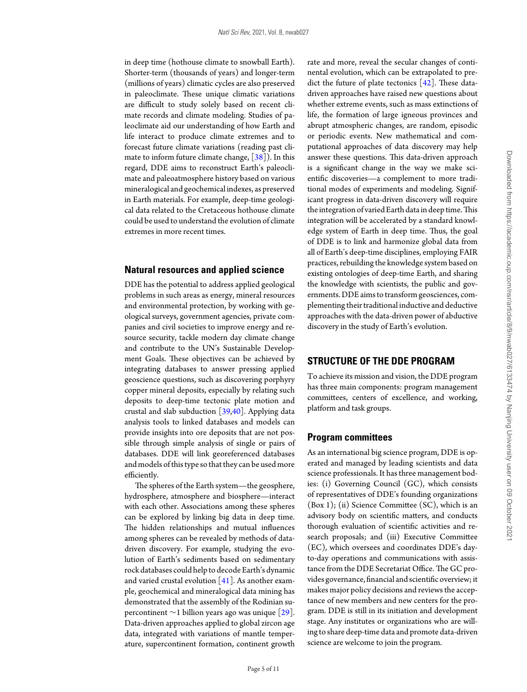in deep time (hothouse climate to snowball Earth). Shorter-term (thousands of years) and longer-term (millions of years) climatic cycles are also preserved in paleoclimate. These unique climatic variations are difficult to study solely based on recent climate records and climate modeling. Studies of paleoclimate aid our understanding of how Earth and life interact to produce climate extremes and to forecast future climate variations (reading past climate to inform future climate change, [\[38\]](#page-10-24)). In this regard, DDE aims to reconstruct Earth's paleoclimate and paleoatmosphere history based on various mineralogical and geochemical indexes, as preserved in Earth materials. For example, deep-time geological data related to the Cretaceous hothouse climate could be used to understand the evolution of climate extremes in more recent times.

#### **Natural resources and applied science**

DDE has the potential to address applied geological problems in such areas as energy, mineral resources and environmental protection, by working with geological surveys, government agencies, private companies and civil societies to improve energy and resource security, tackle modern day climate change and contribute to the UN's Sustainable Development Goals. These objectives can be achieved by integrating databases to answer pressing applied geoscience questions, such as discovering porphyry copper mineral deposits, especially by relating such deposits to deep-time tectonic plate motion and crustal and slab subduction  $[39,40]$  $[39,40]$ . Applying data analysis tools to linked databases and models can provide insights into ore deposits that are not possible through simple analysis of single or pairs of databases. DDE will link georeferenced databases and models of this type so that they can be used more efficiently.

The spheres of the Earth system—the geosphere, hydrosphere, atmosphere and biosphere—interact with each other. Associations among these spheres can be explored by linking big data in deep time. The hidden relationships and mutual influences among spheres can be revealed by methods of datadriven discovery. For example, studying the evolution of Earth's sediments based on sedimentary rock databases could help to decode Earth's dynamic and varied crustal evolution  $[41]$ . As another example, geochemical and mineralogical data mining has demonstrated that the assembly of the Rodinian supercontinent  $\sim$ 1 billion years ago was unique [\[29\]](#page-10-19). Data-driven approaches applied to global zircon age data, integrated with variations of mantle temperature, supercontinent formation, continent growth rate and more, reveal the secular changes of continental evolution, which can be extrapolated to predict the future of plate tectonics  $[42]$ . These datadriven approaches have raised new questions about whether extreme events, such as mass extinctions of life, the formation of large igneous provinces and abrupt atmospheric changes, are random, episodic or periodic events. New mathematical and computational approaches of data discovery may help answer these questions. This data-driven approach is a significant change in the way we make scientific discoveries—a complement to more traditional modes of experiments and modeling. Significant progress in data-driven discovery will require the integration of varied Earth data in deeptime.This integration will be accelerated by a standard knowledge system of Earth in deep time. Thus, the goal of DDE is to link and harmonize global data from all of Earth's deep-time disciplines, employing FAIR practices, rebuilding the knowledge system based on existing ontologies of deep-time Earth, and sharing the knowledge with scientists, the public and governments. DDE aims to transform geosciences, complementing their traditional inductive and deductive approaches with the data-driven power of abductive discovery in the study of Earth's evolution.

# **STRUCTURE OF THE DDE PROGRAM**

To achieve its mission and vision, the DDE program has three main components: program management committees, centers of excellence, and working, platform and task groups.

#### **Program committees**

As an international big science program, DDE is operated and managed by leading scientists and data science professionals. It has three management bodies: (i) Governing Council (GC), which consists of representatives of DDE's founding organizations (Box 1); (ii) Science Committee (SC), which is an advisory body on scientific matters, and conducts thorough evaluation of scientific activities and research proposals; and (iii) Executive Committee (EC), which oversees and coordinates DDE's dayto-day operations and communications with assistance from the DDE Secretariat Office.The GC provides governance, financial and scientific overview; it makes major policy decisions and reviews the acceptance of new members and new centers for the program. DDE is still in its initiation and development stage. Any institutes or organizations who are willingto share deep-time data and promote data-driven science are welcome to join the program[.](#page-5-0)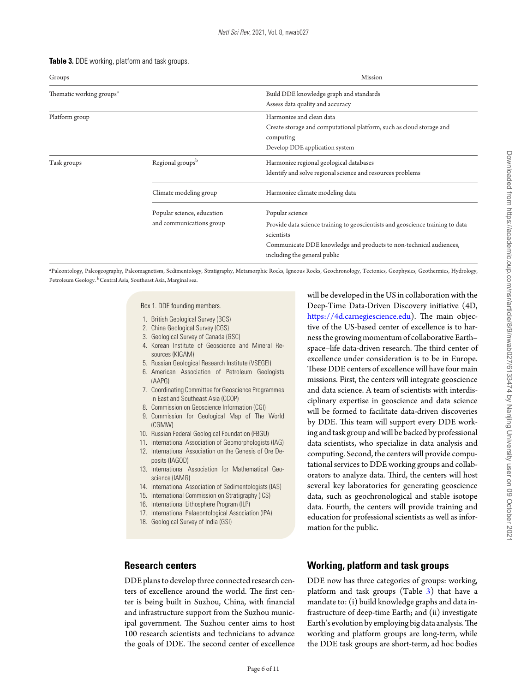<span id="page-5-0"></span>

| Table 3. DDE working, platform and task groups. |  |  |  |
|-------------------------------------------------|--|--|--|
|-------------------------------------------------|--|--|--|

| Groups                               |                              | Mission                                                                           |  |  |
|--------------------------------------|------------------------------|-----------------------------------------------------------------------------------|--|--|
| Thematic working groups <sup>a</sup> |                              | Build DDE knowledge graph and standards                                           |  |  |
|                                      |                              | Assess data quality and accuracy                                                  |  |  |
| Platform group                       |                              | Harmonize and clean data                                                          |  |  |
|                                      |                              | Create storage and computational platform, such as cloud storage and<br>computing |  |  |
|                                      |                              | Develop DDE application system                                                    |  |  |
| Task groups                          | Regional groups <sup>b</sup> | Harmonize regional geological databases                                           |  |  |
|                                      |                              | Identify and solve regional science and resources problems                        |  |  |
|                                      | Climate modeling group       | Harmonize climate modeling data                                                   |  |  |
|                                      | Popular science, education   | Popular science                                                                   |  |  |
|                                      | and communications group     | Provide data science training to geoscientists and geoscience training to data    |  |  |
|                                      |                              | scientists                                                                        |  |  |
|                                      |                              | Communicate DDE knowledge and products to non-technical audiences,                |  |  |
|                                      |                              | including the general public                                                      |  |  |

a Paleontology, Paleogeography, Paleomagnetism, Sedimentology, Stratigraphy, Metamorphic Rocks, Igneous Rocks, Geochronology, Tectonics, Geophysics, Geothermics, Hydrology, Petroleum Geology. <sup>b</sup>Central Asia, Southeast Asia, Marginal sea.

Box 1. DDE founding members.

- 1. British Geological Survey (BGS)
- 2. China Geological Survey (CGS)
- 3. Geological Survey of Canada (GSC)
- 4. Korean Institute of Geoscience and Mineral Resources (KIGAM)
- 5. Russian Geological Research Institute (VSEGEI)
- 6. American Association of Petroleum Geologists (AAPG)
- 7. Coordinating Committee for Geoscience Programmes in East and Southeast Asia (CCOP)
- 8. Commission on Geoscience Information (CGI)
- 9. Commission for Geological Map of The World (CGMW)
- 10. Russian Federal Geological Foundation (FBGU)
- 11. International Association of Geomorphologists (IAG)
- 12. International Association on the Genesis of Ore Deposits (IAGOD)
- 13. International Association for Mathematical Geoscience (IAMG)
- 14. International Association of Sedimentologists (IAS)
- 15. International Commission on Stratigraphy (ICS)
- 16. International Lithosphere Program (ILP)
- 17. International Palaeontological Association (IPA)
- 18. Geological Survey of India (GSI)

#### **Research centers**

DDE plans to develop three connected research centers of excellence around the world. The first center is being built in Suzhou, China, with financial and infrastructure support from the Suzhou municipal government. The Suzhou center aims to host 100 research scientists and technicians to advance the goals of DDE. The second center of excellence will be developed in the US in collaboration with the Deep-Time Data-Driven Discovery initiative (4D, [https://4d.carnegiescience.edu\)](https://4d.carnegiescience.edu). The main objective of the US-based center of excellence is to harnessthe growing momentum of collaborative Earth– space–life data-driven research. The third center of excellence under consideration is to be in Europe. These DDE centers of excellence will have four main missions. First, the centers will integrate geoscience and data science. A team of scientists with interdisciplinary expertise in geoscience and data science will be formed to facilitate data-driven discoveries by DDE. This team will support every DDE working and task group and will be backed by professional data scientists, who specialize in data analysis and computing. Second, the centers will provide computational services to DDE working groups and collaborators to analyze data. Third, the centers will host several key laboratories for generating geoscience data, such as geochronological and stable isotope data. Fourth, the centers will provide training and education for professional scientists as well as information for the public[.](#page-6-0)

# **Working, platform and task groups**

DDE now has three categories of groups: working, platform and task groups (Table [3\)](#page-5-0) that have a mandate to: (i) build knowledge graphs and data infrastructure of deep-time Earth; and (ii) investigate Earth's evolution by employing big data analysis.The working and platform groups are long-term, while the DDE task groups are short-term, ad hoc bodies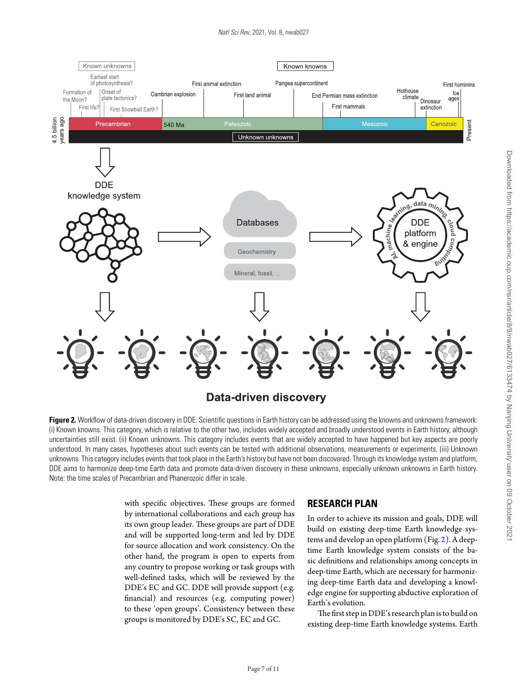<span id="page-6-0"></span>

**Figure 2.** Workflow of data-driven discovery in DDE. Scientific questions in Earth history can be addressed using the knowns and unknowns framework: (i) Known knowns. This category, which is relative to the other two, includes widely accepted and broadly understood events in Earth history, although uncertainties still exist. (ii) Known unknowns. This category includes events that are widely accepted to have happened but key aspects are poorly understood. In many cases, hypotheses about such events can be tested with additional observations, measurements or experiments. (iii) Unknown unknowns. This category includes events that took place in the Earth's history but have not been discovered. Through its knowledge system and platform, DDE aims to harmonize deep-time Earth data and promote data-driven discovery in these unknowns, especially unknown unknowns in Earth history. Note: the time scales of Precambrian and Phanerozoic differ in scale.

with specific objectives. These groups are formed by international collaborations and each group has its own group leader. These groups are part of DDE and will be supported long-term and led by DDE for source allocation and work consistency. On the other hand, the program is open to experts from any country to propose working or task groups with well-defined tasks, which will be reviewed by the DDE's EC and GC. DDE will provide support (e.g. financial) and resources (e.g. computing power) to these 'open groups'. Consistency between these groups is monitored by DDE's SC, EC and GC.

# **RESEARCH PLAN**

In order to achieve its mission and goals, DDE will build on existing deep-time Earth knowledge systems and develop an open platform (Fig. [2\)](#page-6-0). A deeptime Earth knowledge system consists of the basic definitions and relationships among concepts in deep-time Earth, which are necessary for harmonizing deep-time Earth data and developing a knowledge engine for supporting abductive exploration of Earth's evolution.

The first step in DDE's research plan isto build on existing deep-time Earth knowledge systems. Earth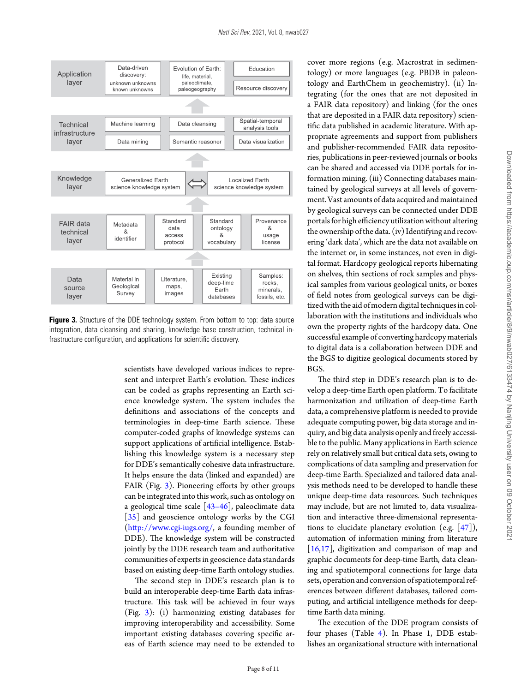<span id="page-7-0"></span>

**Figure 3.** Structure of the DDE technology system. From bottom to top: data source integration, data cleansing and sharing, knowledge base construction, technical infrastructure configuration, and applications for scientific discovery.

scientists have developed various indices to represent and interpret Earth's evolution. These indices can be coded as graphs representing an Earth science knowledge system. The system includes the definitions and associations of the concepts and terminologies in deep-time Earth science. These computer-coded graphs of knowledge systems can support applications of artificial intelligence. Establishing this knowledge system is a necessary step for DDE's semantically cohesive data infrastructure. It helps ensure the data (linked and expanded) are FAIR (Fig. [3\)](#page-7-0). Pioneering efforts by other groups can be integrated into this work, such as ontology on a geological time scale  $\left[43-46\right]$ , paleoclimate data [\[35\]](#page-10-16) and geoscience ontology works by the CGI [\(http://www.cgi-iugs.org/,](http://www.cgi-iugs.org/) a founding member of DDE). The knowledge system will be constructed jointly by the DDE research team and authoritative communities of experts in geoscience data standards based on existing deep-time Earth ontology studies.

The second step in DDE's research plan is to build an interoperable deep-time Earth data infrastructure. This task will be achieved in four ways (Fig. [3\)](#page-7-0): (i) harmonizing existing databases for improving interoperability and accessibility. Some important existing databases covering specific areas of Earth science may need to be extended to cover more regions (e.g. Macrostrat in sedimentology) or more languages (e.g. PBDB in paleontology and EarthChem in geochemistry). (ii) Integrating (for the ones that are not deposited in a FAIR data repository) and linking (for the ones that are deposited in a FAIR data repository) scientific data published in academic literature. With appropriate agreements and support from publishers and publisher-recommended FAIR data repositories, publications in peer-reviewed journals or books can be shared and accessed via DDE portals for information mining. (iii) Connecting databases maintained by geological surveys at all levels of government. Vast amounts of data acquired and maintained by geological surveys can be connected under DDE portals for high efficiency utilization without altering the ownership ofthe data. (iv) Identifying and recovering 'dark data', which are the data not available on the internet or, in some instances, not even in digital format. Hardcopy geological reports hibernating on shelves, thin sections of rock samples and physical samples from various geological units, or boxes of field notes from geological surveys can be digitized with the aid of modern digital techniques in collaboration with the institutions and individuals who own the property rights of the hardcopy data. One successful example of converting hardcopy materials to digital data is a collaboration between DDE and the BGS to digitize geological documents stored by BGS.

The third step in DDE's research plan is to develop a deep-time Earth open platform. To facilitate harmonization and utilization of deep-time Earth data, a comprehensive platform is needed to provide adequate computing power, big data storage and inquiry, and big data analysis openly and freely accessible to the public. Many applications in Earth science rely on relatively small but critical data sets, owing to complications of data sampling and preservation for deep-time Earth. Specialized and tailored data analysis methods need to be developed to handle these unique deep-time data resources. Such techniques may include, but are not limited to, data visualization and interactive three-dimensional representations to elucidate planetary evolution (e.g.  $[47]$ ), automation of information mining from literature [\[16,](#page-10-3)[17\]](#page-10-4), digitization and comparison of map and graphic documents for deep-time Earth, data cleaning and spatiotemporal connections for large data sets, operation and conversion of spatiotemporal references between different databases, tailored computing, and artificial intelligence methods for deeptime Earth data mining.

The execution of the DDE program consists of four phases (Table [4\)](#page-8-0). In Phase 1, DDE establishes an organizational structure with international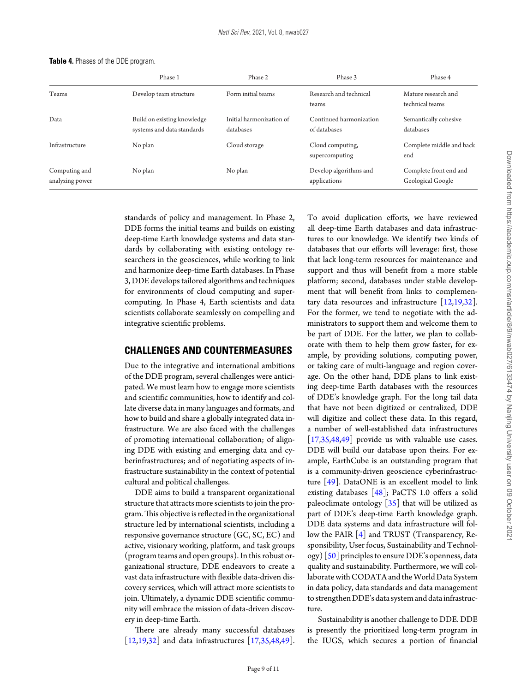|                                  | Phase 1                                                   | Phase 2                               | Phase 3                                 | Phase 4                                     |
|----------------------------------|-----------------------------------------------------------|---------------------------------------|-----------------------------------------|---------------------------------------------|
| Teams                            | Develop team structure                                    | Form initial teams                    | Research and technical<br>teams         | Mature research and<br>technical teams      |
| Data                             | Build on existing knowledge<br>systems and data standards | Initial harmonization of<br>databases | Continued harmonization<br>of databases | Semantically cohesive<br>databases          |
| Infrastructure                   | No plan                                                   | Cloud storage                         | Cloud computing,<br>supercomputing      | Complete middle and back<br>end             |
| Computing and<br>analyzing power | No plan                                                   | No plan                               | Develop algorithms and<br>applications  | Complete front end and<br>Geological Google |

<span id="page-8-0"></span>**Table 4.** Phases of the DDE program.

standards of policy and management. In Phase 2, DDE forms the initial teams and builds on existing deep-time Earth knowledge systems and data standards by collaborating with existing ontology researchers in the geosciences, while working to link and harmonize deep-time Earth databases. In Phase 3, DDE develops tailored algorithms and techniques for environments of cloud computing and supercomputing. In Phase 4, Earth scientists and data scientists collaborate seamlessly on compelling and integrative scientific problems.

#### **CHALLENGES AND COUNTERMEASURES**

Due to the integrative and international ambitions of the DDE program, several challenges were anticipated. We must learn how to engage more scientists and scientific communities, how to identify and collate diverse data in many languages and formats, and how to build and share a globally integrated data infrastructure. We are also faced with the challenges of promoting international collaboration; of aligning DDE with existing and emerging data and cyberinfrastructures; and of negotiating aspects of infrastructure sustainability in the context of potential cultural and political challenges.

DDE aims to build a transparent organizational structure that attracts more scientists to join the program. This objective is reflected in the organizational structure led by international scientists, including a responsive governance structure (GC, SC, EC) and active, visionary working, platform, and task groups (program teams and open groups). In this robust organizational structure, DDE endeavors to create a vast data infrastructure with flexible data-driven discovery services, which will attract more scientists to join. Ultimately, a dynamic DDE scientific community will embrace the mission of data-driven discovery in deep-time Earth.

There are already many successful databases [\[12](#page-9-1)[,19,](#page-10-5)[32\]](#page-10-22) and data infrastructures [\[17,](#page-10-4)[35](#page-10-16)[,48,](#page-10-31)[49\]](#page-10-32). To avoid duplication efforts, we have reviewed all deep-time Earth databases and data infrastructures to our knowledge. We identify two kinds of databases that our efforts will leverage: first, those that lack long-term resources for maintenance and support and thus will benefit from a more stable platform; second, databases under stable development that will benefit from links to complementary data resources and infrastructure [\[12,](#page-9-1)[19](#page-10-5)[,32\]](#page-10-22). For the former, we tend to negotiate with the administrators to support them and welcome them to be part of DDE. For the latter, we plan to collaborate with them to help them grow faster, for example, by providing solutions, computing power, or taking care of multi-language and region coverage. On the other hand, DDE plans to link existing deep-time Earth databases with the resources of DDE's knowledge graph. For the long tail data that have not been digitized or centralized, DDE will digitize and collect these data. In this regard, a number of well-established data infrastructures [\[17,](#page-10-4)[35](#page-10-16)[,48,](#page-10-31)[49\]](#page-10-32) provide us with valuable use cases. DDE will build our database upon theirs. For example, EarthCube is an outstanding program that is a community-driven geoscience cyberinfrastructure  $[49]$ . DataONE is an excellent model to link existing databases [\[48\]](#page-10-31); PaCTS 1.0 offers a solid paleoclimate ontology  $[35]$  that will be utilized as part of DDE's deep-time Earth knowledge graph. DDE data systems and data infrastructure will follow the FAIR [\[4\]](#page-9-4) and TRUST (Transparency, Responsibility, User focus, Sustainability and Technology)  $[50]$  principles to ensure DDE's openness, data quality and sustainability. Furthermore, we will collaborate with CODATA and the World Data System in data policy, data standards and data management to strengthen DDE's data system and data infrastructure.

Sustainability is another challenge to DDE. DDE is presently the prioritized long-term program in the IUGS, which secures a portion of financial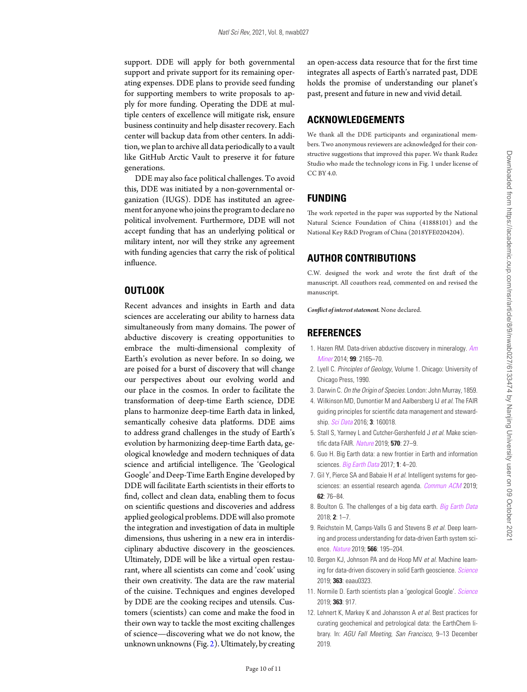support. DDE will apply for both governmental support and private support for its remaining operating expenses. DDE plans to provide seed funding for supporting members to write proposals to apply for more funding. Operating the DDE at multiple centers of excellence will mitigate risk, ensure business continuity and help disaster recovery. Each center will backup data from other centers. In addition, we plan to archive all data periodically to a vault like GitHub Arctic Vault to preserve it for future generations.

DDE may also face political challenges. To avoid this, DDE was initiated by a non-governmental organization (IUGS). DDE has instituted an agreement for anyone who joins the program to declare no political involvement. Furthermore, DDE will not accept funding that has an underlying political or military intent, nor will they strike any agreement with funding agencies that carry the risk of political influence.

#### **OUTLOOK**

Recent advances and insights in Earth and data sciences are accelerating our ability to harness data simultaneously from many domains. The power of abductive discovery is creating opportunities to embrace the multi-dimensional complexity of Earth's evolution as never before. In so doing, we are poised for a burst of discovery that will change our perspectives about our evolving world and our place in the cosmos. In order to facilitate the transformation of deep-time Earth science, DDE plans to harmonize deep-time Earth data in linked, semantically cohesive data platforms. DDE aims to address grand challenges in the study of Earth's evolution by harmonizing deep-time Earth data, geological knowledge and modern techniques of data science and artificial intelligence. The 'Geological Google' and Deep-Time Earth Engine developed by DDE will facilitate Earth scientists in their efforts to find, collect and clean data, enabling them to focus on scientific questions and discoveries and address applied geological problems. DDE will also promote the integration and investigation of data in multiple dimensions, thus ushering in a new era in interdisciplinary abductive discovery in the geosciences. Ultimately, DDE will be like a virtual open restaurant, where all scientists can come and 'cook' using their own creativity. The data are the raw material of the cuisine. Techniques and engines developed by DDE are the cooking recipes and utensils. Customers (scientists) can come and make the food in their own way to tackle the most exciting challenges of science—discovering what we do not know, the unknown unknowns (Fig. [2\)](#page-6-0). Ultimately, by creating

an open-access data resource that for the first time integrates all aspects of Earth's narrated past, DDE holds the promise of understanding our planet's past, present and future in new and vivid detail.

# **ACKNOWLEDGEMENTS**

We thank all the DDE participants and organizational members. Two anonymous reviewers are acknowledged for their constructive suggestions that improved this paper. We thank Rudez Studio who made the technology icons in Fig. 1 under license of CC BY 4.0.

#### **FUNDING**

The work reported in the paper was supported by the National Natural Science Foundation of China (41888101) and the National Key R&D Program of China (2018YFE0204204).

# **AUTHOR CONTRIBUTIONS**

C.W. designed the work and wrote the first draft of the manuscript. All coauthors read, commented on and revised the manuscript.

*Conflict of interest statement.* None declared.

# **REFERENCES**

- <span id="page-9-0"></span>1. Hazen RM. Data-driven abductive discovery in mineralogy. *[Am](http://dx.doi.org/10.2138/am-2014-4895) [Miner](http://dx.doi.org/10.2138/am-2014-4895)* 2014; **99**: 2165–70.
- <span id="page-9-2"></span>2. Lyell C. *Principles of Geology*, Volume 1. Chicago: University of Chicago Press, 1990.
- <span id="page-9-3"></span>3. Darwin C. *On the Origin of Species*. London: John Murray, 1859.
- <span id="page-9-4"></span>4. Wilkinson MD, Dumontier M and Aalbersberg IJ *et al.* The FAIR guiding principles for scientific data management and stewardship. *[Sci Data](http://dx.doi.org/10.1038/sdata.2016.18)* 2016; **3**: 160018.
- <span id="page-9-5"></span>5. Stall S, Yarmey L and Cutcher-Gershenfeld J *et al.* Make scientific data FAIR. *[Nature](http://dx.doi.org/10.1038/d41586-019-01720-7)* 2019; **570**: 27–9.
- <span id="page-9-6"></span>6. Guo H. Big Earth data: a new frontier in Earth and information sciences. *[Big Earth Data](http://dx.doi.org/10.1080/20964471.2017.1403062)* 2017; **1**: 4–20.
- 7. Gil Y, Pierce SA and Babaie H *et al.* Intelligent systems for geosciences: an essential research agenda. *[Commun ACM](http://dx.doi.org/10.1145/3192335)* 2019; **62**: 76–84.
- 8. Boulton G. The challenges of a big data earth. *[Big Earth Data](http://dx.doi.org/10.1080/20964471.2017.1397411)* 2018; **2**: 1–7.
- 9. Reichstein M, Camps-Valls G and Stevens B *et al.* Deep learning and process understanding for data-driven Earth system science. *[Nature](http://dx.doi.org/10.1038/s41586-019-0912-1)* 2019; **566**: 195–204.
- 10. Bergen KJ, Johnson PA and de Hoop MV *et al.* Machine learning for data-driven discovery in solid Earth geoscience. *[Science](http://dx.doi.org/10.1126/science.aau0323)* 2019; **363**: eaau0323.
- <span id="page-9-7"></span>11. Normile D. Earth scientists plan a 'geological Google'. *[Science](http://dx.doi.org/10.1126/science.363.6430.917)* 2019; **363**: 917.
- <span id="page-9-1"></span>12. Lehnert K, Markey K and Johansson A *et al.* Best practices for curating geochemical and petrological data: the EarthChem library. In: *AGU Fall Meeting, San Francisco,* 9–13 December 2019.